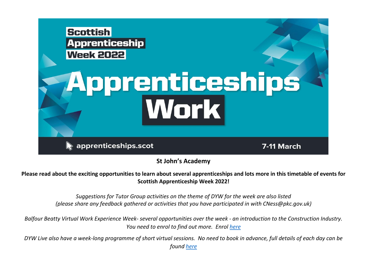

**St John's Academy**

**Please read about the exciting opportunities to learn about several apprenticeships and lots more in this timetable of events for Scottish Apprenticeship Week 2022!**

> *Suggestions for Tutor Group activities on the theme of DYW for the week are also listed (please share any feedback gathered or activities that you have participated in with CNess@pkc.gov.uk)*

*Balfour Beatty Virtual Work Experience Week- several opportunities over the week - an introduction to the Construction Industry. You need to enrol to find out more. Enrol [here](https://balfourbeatty.thinkific.com/courses/ScotAppWeek2022)*

*DYW Live also have a week-long programme of short virtual sessions. No need to book in advance, full details of each day can be found [here](https://e-sgoil.com/scottish-apprenticeship-week/)*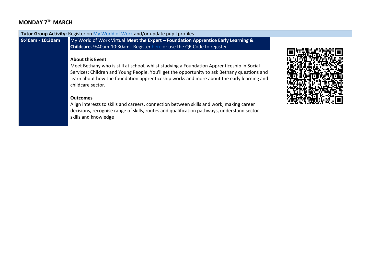# **MONDAY 7TH MARCH**

|                  | Tutor Group Activity: Register on My World of Work and/or update pupil profiles                                                                                                                                                                                                                                                                                                                                                                                                                                                                      |  |
|------------------|------------------------------------------------------------------------------------------------------------------------------------------------------------------------------------------------------------------------------------------------------------------------------------------------------------------------------------------------------------------------------------------------------------------------------------------------------------------------------------------------------------------------------------------------------|--|
| 9:40am - 10:30am | My World of Work Virtual Meet the Expert - Foundation Apprentice Early Learning &<br><b>Childcare.</b> 9:40am-10:30am. Register here or use the QR Code to register                                                                                                                                                                                                                                                                                                                                                                                  |  |
|                  | <b>About this Event</b><br>Meet Bethany who is still at school, whilst studying a Foundation Apprenticeship in Social<br>Services: Children and Young People. You'll get the opportunity to ask Bethany questions and<br>learn about how the foundation apprenticeship works and more about the early learning and<br>childcare sector.<br><b>Outcomes</b><br>Align interests to skills and careers, connection between skills and work, making career<br>decisions, recognise range of skills, routes and qualification pathways, understand sector |  |
|                  | skills and knowledge                                                                                                                                                                                                                                                                                                                                                                                                                                                                                                                                 |  |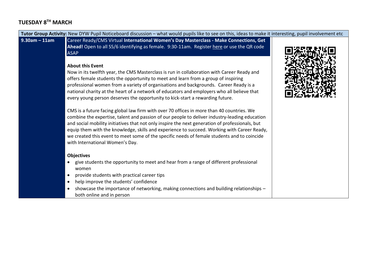# **TUESDAY 8TH MARCH**

| Tutor Group Activity: New DYW Pupil Noticeboard discussion - what would pupils like to see on this, ideas to make it interesting, pupil involvement etc |                                                                                                                                                                                                                                                                                                                                                                                                                                                                                                                                                                                                                                                                                                                                                                                                                                                                                                                                                                                                                                                                                                                                                                                                                                                                                                                                                                                                                                                                                                                                                                                                                        |  |
|---------------------------------------------------------------------------------------------------------------------------------------------------------|------------------------------------------------------------------------------------------------------------------------------------------------------------------------------------------------------------------------------------------------------------------------------------------------------------------------------------------------------------------------------------------------------------------------------------------------------------------------------------------------------------------------------------------------------------------------------------------------------------------------------------------------------------------------------------------------------------------------------------------------------------------------------------------------------------------------------------------------------------------------------------------------------------------------------------------------------------------------------------------------------------------------------------------------------------------------------------------------------------------------------------------------------------------------------------------------------------------------------------------------------------------------------------------------------------------------------------------------------------------------------------------------------------------------------------------------------------------------------------------------------------------------------------------------------------------------------------------------------------------------|--|
| $9.30$ am - 11am                                                                                                                                        | Career Ready/CMS Virtual International Women's Day Masterclass - Make Connections, Get<br>Ahead! Open to all S5/6 identifying as female. 9:30-11am. Register here or use the QR code<br><b>ASAP</b><br><b>About this Event</b><br>Now in its twelfth year, the CMS Masterclass is run in collaboration with Career Ready and<br>offers female students the opportunity to meet and learn from a group of inspiring<br>professional women from a variety of organisations and backgrounds. Career Ready is a<br>national charity at the heart of a network of educators and employers who all believe that<br>every young person deserves the opportunity to kick-start a rewarding future.<br>CMS is a future facing global law firm with over 70 offices in more than 40 countries. We<br>combine the expertise, talent and passion of our people to deliver industry-leading education<br>and social mobility initiatives that not only inspire the next generation of professionals, but<br>equip them with the knowledge, skills and experience to succeed. Working with Career Ready,<br>we created this event to meet some of the specific needs of female students and to coincide<br>with International Women's Day.<br><b>Objectives</b><br>give students the opportunity to meet and hear from a range of different professional<br>$\bullet$<br>women<br>provide students with practical career tips<br>$\bullet$<br>help improve the students' confidence<br>$\bullet$<br>showcase the importance of networking, making connections and building relationships -<br>$\bullet$<br>both online and in person |  |
|                                                                                                                                                         |                                                                                                                                                                                                                                                                                                                                                                                                                                                                                                                                                                                                                                                                                                                                                                                                                                                                                                                                                                                                                                                                                                                                                                                                                                                                                                                                                                                                                                                                                                                                                                                                                        |  |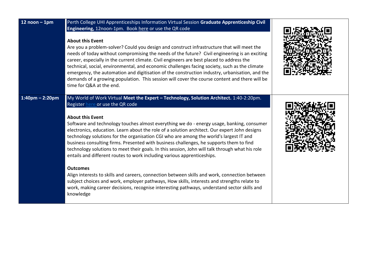| $12$ noon - 1pm    | Perth College UHI Apprenticeships Information Virtual Session Graduate Apprenticeship Civil<br>Engineering, 12noon-1pm. Book here or use the QR code<br><b>About this Event</b><br>Are you a problem-solver? Could you design and construct infrastructure that will meet the<br>needs of today without compromising the needs of the future? Civil engineering is an exciting<br>career, especially in the current climate. Civil engineers are best placed to address the<br>technical, social, environmental, and economic challenges facing society, such as the climate<br>emergency, the automation and digitisation of the construction industry, urbanisation, and the<br>demands of a growing population. This session will cover the course content and there will be<br>time for Q&A at the end.                                                                                                                                                                                                                                           |  |
|--------------------|-------------------------------------------------------------------------------------------------------------------------------------------------------------------------------------------------------------------------------------------------------------------------------------------------------------------------------------------------------------------------------------------------------------------------------------------------------------------------------------------------------------------------------------------------------------------------------------------------------------------------------------------------------------------------------------------------------------------------------------------------------------------------------------------------------------------------------------------------------------------------------------------------------------------------------------------------------------------------------------------------------------------------------------------------------|--|
| $1:40$ pm – 2:20pm | My World of Work Virtual Meet the Expert - Technology, Solution Architect. 1:40-2:20pm.<br>Register here or use the QR code<br><b>About this Event</b><br>Software and technology touches almost everything we do - energy usage, banking, consumer<br>electronics, education. Learn about the role of a solution architect. Our expert John designs<br>technology solutions for the organisation CGI who are among the world's largest IT and<br>business consulting firms. Presented with business challenges, he supports them to find<br>technology solutions to meet their goals. In this session, John will talk through what his role<br>entails and different routes to work including various apprenticeships.<br><b>Outcomes</b><br>Align interests to skills and careers, connection between skills and work, connection between<br>subject choices and work, employer pathways, How skills, interests and strengths relate to<br>work, making career decisions, recognise interesting pathways, understand sector skills and<br>knowledge |  |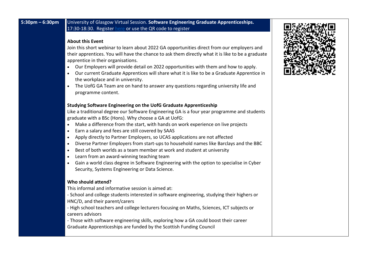## **5:30pm – 6:30pm** University of Glasgow Virtual Session. **Software Engineering Graduate Apprenticeships.**  17:30-18:30. Register [here](https://www.eventbrite.co.uk/e/scottish-apprentice-week-uofg-software-engineering-graduate-apprenticeships-tickets-264181543107) or use the QR code to register

#### **About this Event**

Join this short webinar to learn about 2022 GA opportunities direct from our employers and their apprentices. You will have the chance to ask them directly what it is like to be a graduate apprentice in their organisations.

- Our Employers will provide detail on 2022 opportunities with them and how to apply.
- Our current Graduate Apprentices will share what it is like to be a Graduate Apprentice in the workplace and in university.
- The UofG GA Team are on hand to answer any questions regarding university life and programme content.

### **Studying Software Engineering on the UofG Graduate Apprenticeship**

Like a traditional degree our Software Engineering GA is a four year programme and students graduate with a BSc (Hons). Why choose a GA at UofG:

- Make a difference from the start, with hands on work experience on live projects
- Earn a salary and fees are still covered by SAAS
- Apply directly to Partner Employers, so UCAS applications are not affected
- Diverse Partner Employers from start-ups to household names like Barclays and the BBC
- Best of both worlds as a team member at work and student at university
- Learn from an award-winning teaching team
- Gain a world class degree in Software Engineering with the option to specialise in Cyber Security, Systems Engineering or Data Science.

### **Who should attend?**

This informal and informative session is aimed at:

- School and college students interested in software engineering, studying their highers or HNC/D, and their parent/carers
- High school teachers and college lecturers focusing on Maths, Sciences, ICT subjects or careers advisors
- Those with software engineering skills, exploring how a GA could boost their career Graduate Apprenticeships are funded by the Scottish Funding Council

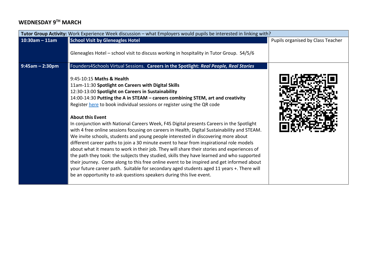# **WEDNESDAY 9TH MARCH**

| Tutor Group Activity: Work Experience Week discussion - what Employers would pupils be interested in linking with? |                                                                                                                                                                                                                                                                                                                                                                                                                                                                                                                                                                                                                                                                                                                                                                                                                                                                                                                                                                                                                                                                                                                                                                                            |                                   |
|--------------------------------------------------------------------------------------------------------------------|--------------------------------------------------------------------------------------------------------------------------------------------------------------------------------------------------------------------------------------------------------------------------------------------------------------------------------------------------------------------------------------------------------------------------------------------------------------------------------------------------------------------------------------------------------------------------------------------------------------------------------------------------------------------------------------------------------------------------------------------------------------------------------------------------------------------------------------------------------------------------------------------------------------------------------------------------------------------------------------------------------------------------------------------------------------------------------------------------------------------------------------------------------------------------------------------|-----------------------------------|
| $10:30$ am - 11am                                                                                                  | <b>School Visit by Gleneagles Hotel</b>                                                                                                                                                                                                                                                                                                                                                                                                                                                                                                                                                                                                                                                                                                                                                                                                                                                                                                                                                                                                                                                                                                                                                    | Pupils organised by Class Teacher |
|                                                                                                                    | Gleneagles Hotel - school visit to discuss working in hospitality in Tutor Group. S4/5/6                                                                                                                                                                                                                                                                                                                                                                                                                                                                                                                                                                                                                                                                                                                                                                                                                                                                                                                                                                                                                                                                                                   |                                   |
| $9:45am - 2:30pm$                                                                                                  | Founders4Schools Virtual Sessions. Careers in the Spotlight: Real People, Real Stories<br>9:45-10:15 Maths & Health<br>11am-11:30 Spotlight on Careers with Digital Skills<br>12:30-13:00 Spotlight on Careers in Sustainability<br>14:00-14:30 Putting the A in STEAM – careers combining STEM, art and creativity<br>Register here to book individual sessions or register using the QR code<br><b>About this Event</b><br>In conjunction with National Careers Week, F4S Digital presents Careers in the Spotlight<br>with 4 free online sessions focusing on careers in Health, Digital Sustainability and STEAM.<br>We invite schools, students and young people interested in discovering more about<br>different career paths to join a 30 minute event to hear from inspirational role models<br>about what it means to work in their job. They will share their stories and experiences of<br>the path they took: the subjects they studied, skills they have learned and who supported<br>their journey. Come along to this free online event to be inspired and get informed about<br>your future career path. Suitable for secondary aged students aged 11 years +. There will |                                   |
|                                                                                                                    | be an opportunity to ask questions speakers during this live event.                                                                                                                                                                                                                                                                                                                                                                                                                                                                                                                                                                                                                                                                                                                                                                                                                                                                                                                                                                                                                                                                                                                        |                                   |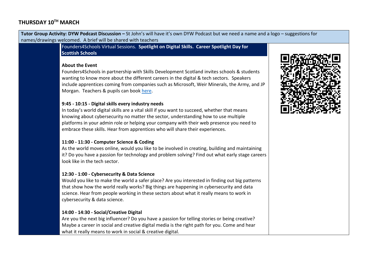## **THURSDAY 10TH MARCH**

**Tutor Group Activity: DYW Podcast Discussion –** St John's will have it's own DYW Podcast but we need a name and a logo – suggestions for names/drawings welcomed. A brief will be shared with teachers Founders4Schools Virtual Sessions. **Spotlight on Digital Skills. Career Spotlight Day for Scottish Schools About the Event** Founders4Schools in partnership with Skills Development Scotland invites schools & students wanting to know more about the different careers in the digital & tech sectors. Speakers include apprentices coming from companies such as Microsoft, Weir Minerals, the Army, and JP Morgan. Teachers & pupils can book [here.](https://www.eventbrite.co.uk/e/spotlight-on-digital-skills-career-spotlight-day-for-scottish-schools-tickets-255098756247?aff=Email)

## **9:45 - 10:15 - Digital skills every industry needs**

In today's world digital skills are a vital skill if you want to succeed, whether that means knowing about cybersecurity no matter the sector, understanding how to use multiple platforms in your admin role or helping your company with their web presence you need to embrace these skills. Hear from apprentices who will share their experiences.

## **11:00 - 11:30 - Computer Science & Coding**

As the world moves online, would you like to be involved in creating, building and maintaining it? Do you have a passion for technology and problem solving? Find out what early stage careers look like in the tech sector.

### **12:30 - 1:00 - Cybersecurity & Data Science**

Would you like to make the world a safer place? Are you interested in finding out big patterns that show how the world really works? Big things are happening in cybersecurity and data science. Hear from people working in these sectors about what it really means to work in cybersecurity & data science.

## **14:00 - 14:30 - Social/Creative Digital**

Are you the next big influencer? Do you have a passion for telling stories or being creative? Maybe a career in social and creative digital media is the right path for you. Come and hear what it really means to work in social & creative digital.

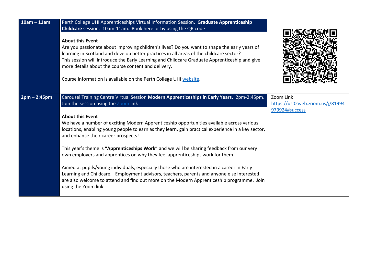| $10am - 11am$  | Perth College UHI Apprenticeships Virtual Information Session. Graduate Apprenticeship<br>Childcare session. 10am-11am. Book here or by using the QR code<br><b>About this Event</b><br>Are you passionate about improving children's lives? Do you want to shape the early years of<br>learning in Scotland and develop better practices in all areas of the childcare sector?<br>This session will introduce the Early Learning and Childcare Graduate Apprenticeship and give<br>more details about the course content and delivery.<br>Course information is available on the Perth College UHI website.                                                                                                                                                                                                                                                                                            |                                                                |
|----------------|---------------------------------------------------------------------------------------------------------------------------------------------------------------------------------------------------------------------------------------------------------------------------------------------------------------------------------------------------------------------------------------------------------------------------------------------------------------------------------------------------------------------------------------------------------------------------------------------------------------------------------------------------------------------------------------------------------------------------------------------------------------------------------------------------------------------------------------------------------------------------------------------------------|----------------------------------------------------------------|
| $2pm - 2:45pm$ | Carousel Training Centre Virtual Session Modern Apprenticeships in Early Years. 2pm-2:45pm.<br>Join the session using the Zoom link<br><b>About this Event</b><br>We have a number of exciting Modern Apprenticeship opportunities available across various<br>locations, enabling young people to earn as they learn, gain practical experience in a key sector,<br>and enhance their career prospects!<br>This year's theme is "Apprenticeships Work" and we will be sharing feedback from our very<br>own employers and apprentices on why they feel apprenticeships work for them.<br>Aimed at pupils/young individuals, especially those who are interested in a career in Early<br>Learning and Childcare. Employment advisors, teachers, parents and anyone else interested<br>are also welcome to attend and find out more on the Modern Apprenticeship programme. Join<br>using the Zoom link. | Zoom Link<br>https://us02web.zoom.us/j/81994<br>979924#success |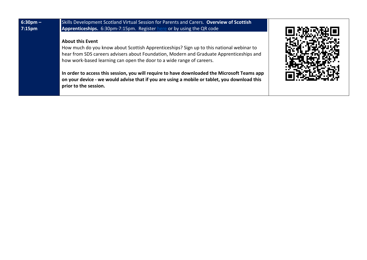| $6:30$ pm –<br>7:15 <sub>pm</sub> | Skills Development Scotland Virtual Session for Parents and Carers. Overview of Scottish<br>Apprenticeships. 6:30pm-7:15pm. Register here or by using the QR code                                                                                                                        |  |
|-----------------------------------|------------------------------------------------------------------------------------------------------------------------------------------------------------------------------------------------------------------------------------------------------------------------------------------|--|
|                                   | <b>About this Event</b><br>How much do you know about Scottish Apprenticeships? Sign up to this national webinar to<br>hear from SDS careers advisers about Foundation, Modern and Graduate Apprenticeships and<br>how work-based learning can open the door to a wide range of careers. |  |
|                                   | In order to access this session, you will require to have downloaded the Microsoft Teams app<br>on your device - we would advise that if you are using a mobile or tablet, you download this<br>prior to the session.                                                                    |  |